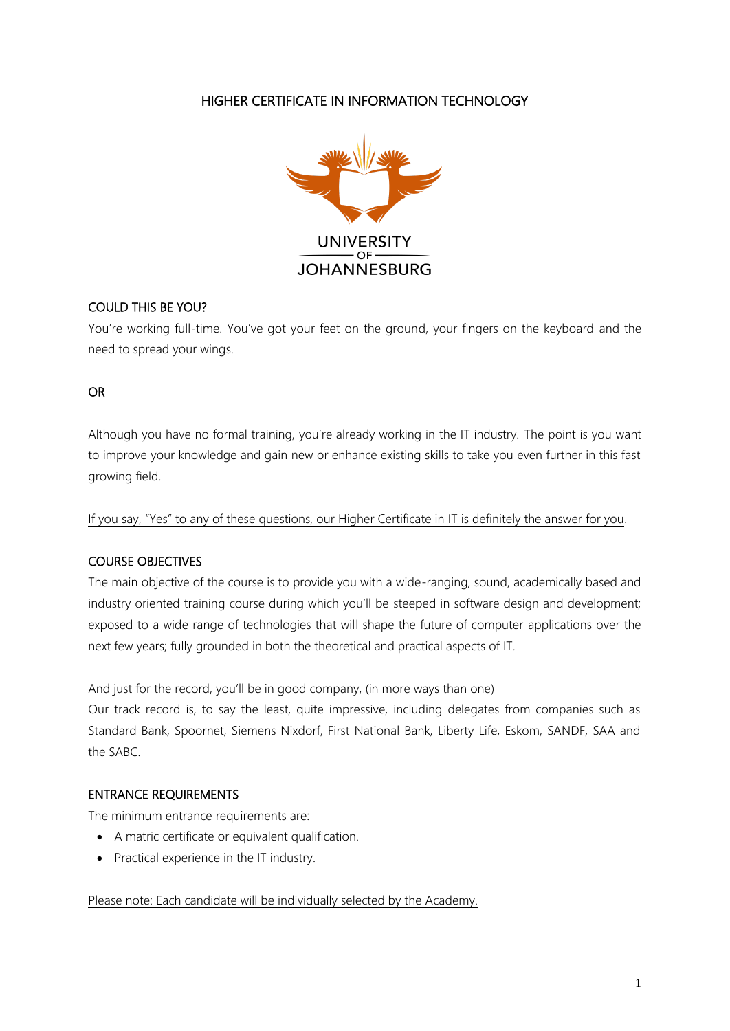# HIGHER CERTIFICATE IN INFORMATION TECHNOLOGY



### COULD THIS BE YOU?

You're working full-time. You've got your feet on the ground, your fingers on the keyboard and the need to spread your wings.

### OR

Although you have no formal training, you're already working in the IT industry. The point is you want to improve your knowledge and gain new or enhance existing skills to take you even further in this fast growing field.

If you say, "Yes" to any of these questions, our Higher Certificate in IT is definitely the answer for you.

### COURSE OBJECTIVES

The main objective of the course is to provide you with a wide-ranging, sound, academically based and industry oriented training course during which you'll be steeped in software design and development; exposed to a wide range of technologies that will shape the future of computer applications over the next few years; fully grounded in both the theoretical and practical aspects of IT.

### And just for the record, you'll be in good company, (in more ways than one)

Our track record is, to say the least, quite impressive, including delegates from companies such as Standard Bank, Spoornet, Siemens Nixdorf, First National Bank, Liberty Life, Eskom, SANDF, SAA and the SABC.

### ENTRANCE REQUIREMENTS

The minimum entrance requirements are:

- A matric certificate or equivalent qualification.
- Practical experience in the IT industry.

### Please note: Each candidate will be individually selected by the Academy.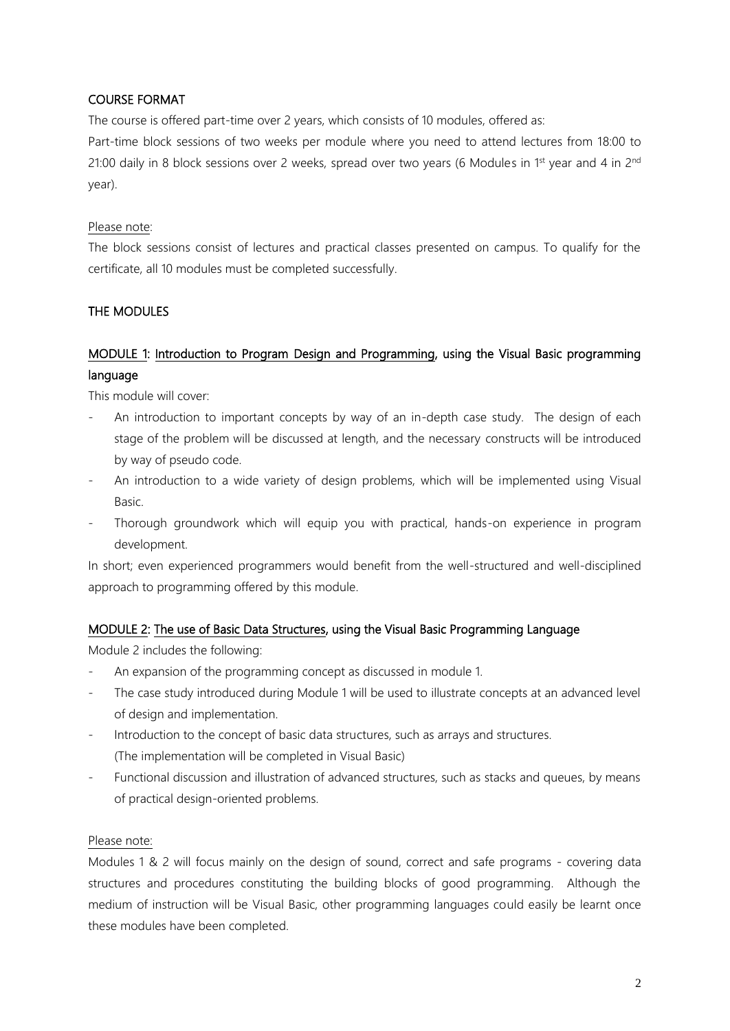## COURSE FORMAT

The course is offered part-time over 2 years, which consists of 10 modules, offered as:

Part-time block sessions of two weeks per module where you need to attend lectures from 18:00 to 21:00 daily in 8 block sessions over 2 weeks, spread over two years (6 Modules in 1<sup>st</sup> year and 4 in 2<sup>nd</sup> year).

### Please note:

The block sessions consist of lectures and practical classes presented on campus. To qualify for the certificate, all 10 modules must be completed successfully.

### THE MODULES

# MODULE 1: Introduction to Program Design and Programming, using the Visual Basic programming language

This module will cover:

- An introduction to important concepts by way of an in-depth case study. The design of each stage of the problem will be discussed at length, and the necessary constructs will be introduced by way of pseudo code.
- An introduction to a wide variety of design problems, which will be implemented using Visual Basic.
- Thorough groundwork which will equip you with practical, hands-on experience in program development.

In short; even experienced programmers would benefit from the well-structured and well-disciplined approach to programming offered by this module.

### MODULE 2: The use of Basic Data Structures, using the Visual Basic Programming Language

Module 2 includes the following:

- An expansion of the programming concept as discussed in module 1.
- The case study introduced during Module 1 will be used to illustrate concepts at an advanced level of design and implementation.
- Introduction to the concept of basic data structures, such as arrays and structures. (The implementation will be completed in Visual Basic)
- Functional discussion and illustration of advanced structures, such as stacks and queues, by means of practical design-oriented problems.

### Please note:

Modules 1 & 2 will focus mainly on the design of sound, correct and safe programs - covering data structures and procedures constituting the building blocks of good programming. Although the medium of instruction will be Visual Basic, other programming languages could easily be learnt once these modules have been completed.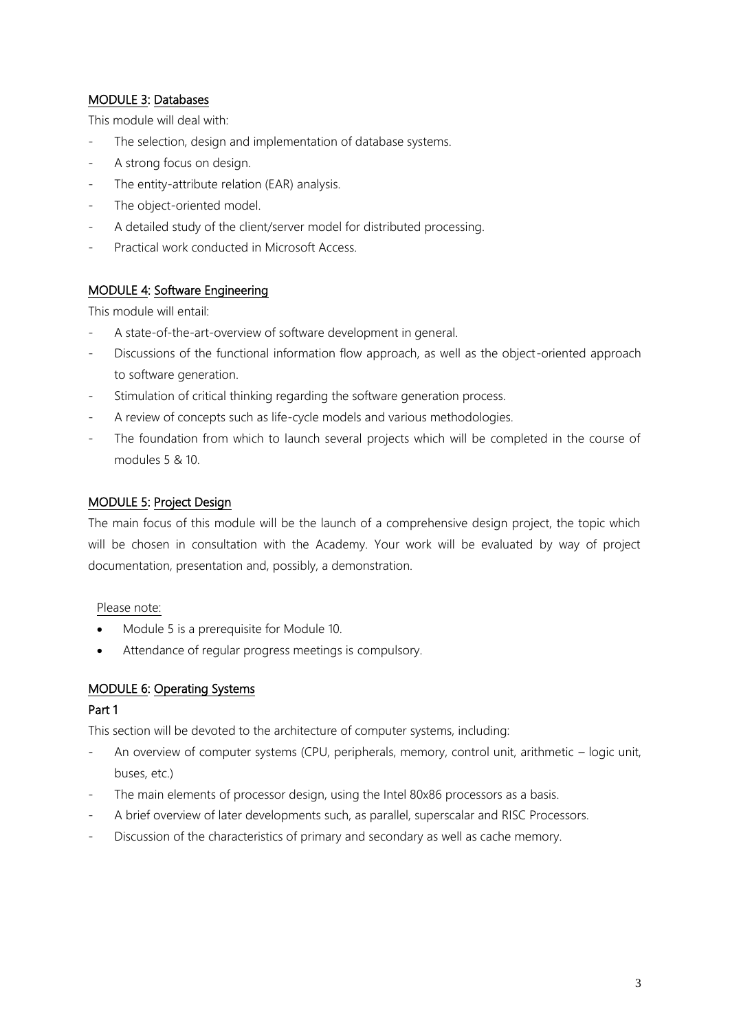### MODULE 3: Databases

This module will deal with:

- The selection, design and implementation of database systems.
- A strong focus on design.
- The entity-attribute relation (EAR) analysis.
- The object-oriented model.
- A detailed study of the client/server model for distributed processing.
- Practical work conducted in Microsoft Access.

### MODULE 4: Software Engineering

This module will entail:

- A state-of-the-art-overview of software development in general.
- Discussions of the functional information flow approach, as well as the object-oriented approach to software generation.
- Stimulation of critical thinking regarding the software generation process.
- A review of concepts such as life-cycle models and various methodologies.
- The foundation from which to launch several projects which will be completed in the course of modules 5 & 10.

### MODULE 5: Project Design

The main focus of this module will be the launch of a comprehensive design project, the topic which will be chosen in consultation with the Academy. Your work will be evaluated by way of project documentation, presentation and, possibly, a demonstration.

#### Please note:

- Module 5 is a prerequisite for Module 10.
- Attendance of regular progress meetings is compulsory.

### MODULE 6: Operating Systems

### Part 1

This section will be devoted to the architecture of computer systems, including:

- An overview of computer systems (CPU, peripherals, memory, control unit, arithmetic logic unit, buses, etc.)
- The main elements of processor design, using the Intel 80x86 processors as a basis.
- A brief overview of later developments such, as parallel, superscalar and RISC Processors.
- Discussion of the characteristics of primary and secondary as well as cache memory.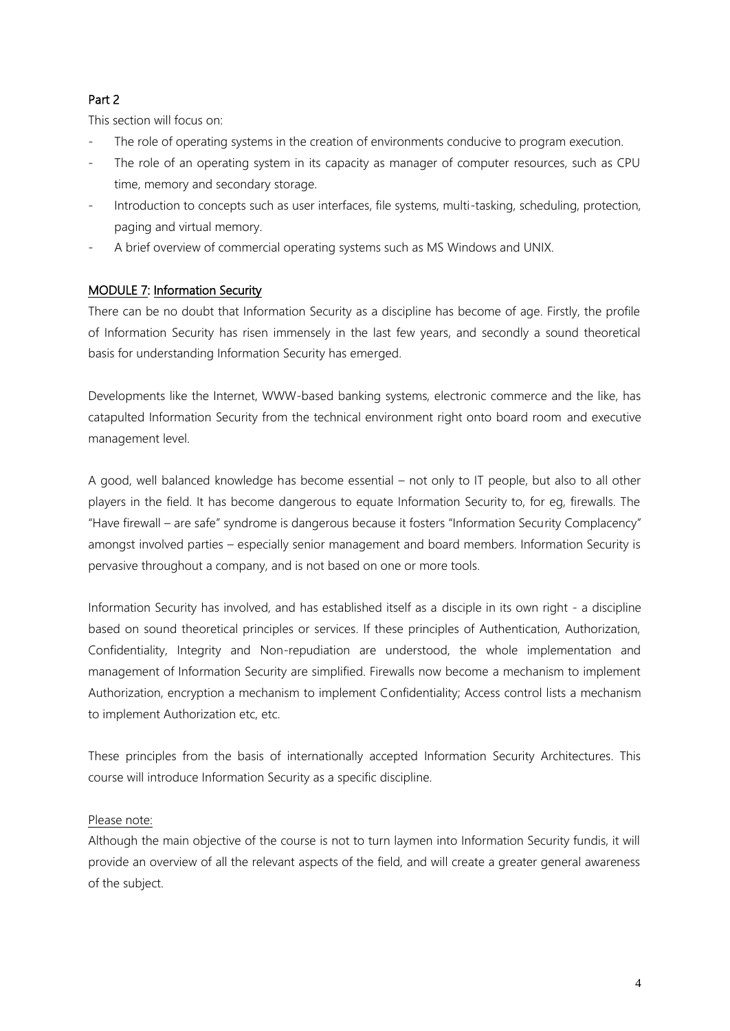## Part 2

This section will focus on:

- The role of operating systems in the creation of environments conducive to program execution.
- The role of an operating system in its capacity as manager of computer resources, such as CPU time, memory and secondary storage.
- Introduction to concepts such as user interfaces, file systems, multi-tasking, scheduling, protection, paging and virtual memory.
- A brief overview of commercial operating systems such as MS Windows and UNIX.

## MODULE 7: Information Security

There can be no doubt that Information Security as a discipline has become of age. Firstly, the profile of Information Security has risen immensely in the last few years, and secondly a sound theoretical basis for understanding Information Security has emerged.

Developments like the Internet, WWW-based banking systems, electronic commerce and the like, has catapulted Information Security from the technical environment right onto board room and executive management level.

A good, well balanced knowledge has become essential – not only to IT people, but also to all other players in the field. It has become dangerous to equate Information Security to, for eg, firewalls. The "Have firewall – are safe" syndrome is dangerous because it fosters "Information Security Complacency" amongst involved parties – especially senior management and board members. Information Security is pervasive throughout a company, and is not based on one or more tools.

Information Security has involved, and has established itself as a disciple in its own right - a discipline based on sound theoretical principles or services. If these principles of Authentication, Authorization, Confidentiality, Integrity and Non-repudiation are understood, the whole implementation and management of Information Security are simplified. Firewalls now become a mechanism to implement Authorization, encryption a mechanism to implement Confidentiality; Access control lists a mechanism to implement Authorization etc, etc.

These principles from the basis of internationally accepted Information Security Architectures. This course will introduce Information Security as a specific discipline.

### Please note:

Although the main objective of the course is not to turn laymen into Information Security fundis, it will provide an overview of all the relevant aspects of the field, and will create a greater general awareness of the subject.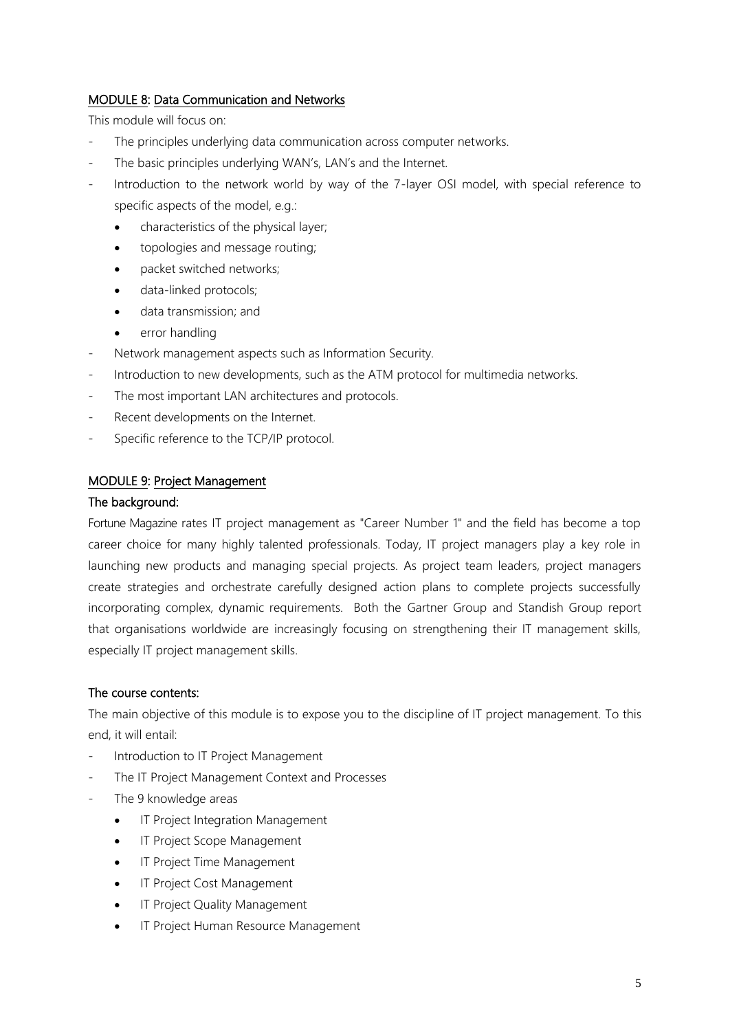### MODULE 8: Data Communication and Networks

This module will focus on:

- The principles underlying data communication across computer networks.
- The basic principles underlying WAN's, LAN's and the Internet.
- Introduction to the network world by way of the 7-layer OSI model, with special reference to specific aspects of the model, e.g.:
	- characteristics of the physical layer;
	- topologies and message routing;
	- packet switched networks;
	- data-linked protocols;
	- data transmission; and
	- error handling
- Network management aspects such as Information Security.
- Introduction to new developments, such as the ATM protocol for multimedia networks.
- The most important LAN architectures and protocols.
- Recent developments on the Internet.
- Specific reference to the TCP/IP protocol.

### MODULE 9: Project Management

#### The background:

Fortune Magazine rates IT project management as "Career Number 1" and the field has become a top career choice for many highly talented professionals. Today, IT project managers play a key role in launching new products and managing special projects. As project team leaders, project managers create strategies and orchestrate carefully designed action plans to complete projects successfully incorporating complex, dynamic requirements. Both the Gartner Group and Standish Group report that organisations worldwide are increasingly focusing on strengthening their IT management skills, especially IT project management skills.

### The course contents:

The main objective of this module is to expose you to the discipline of IT project management. To this end, it will entail:

- Introduction to IT Project Management
- The IT Project Management Context and Processes
- The 9 knowledge areas
	- IT Project Integration Management
	- IT Project Scope Management
	- IT Project Time Management
	- IT Project Cost Management
	- IT Project Quality Management
	- IT Project Human Resource Management